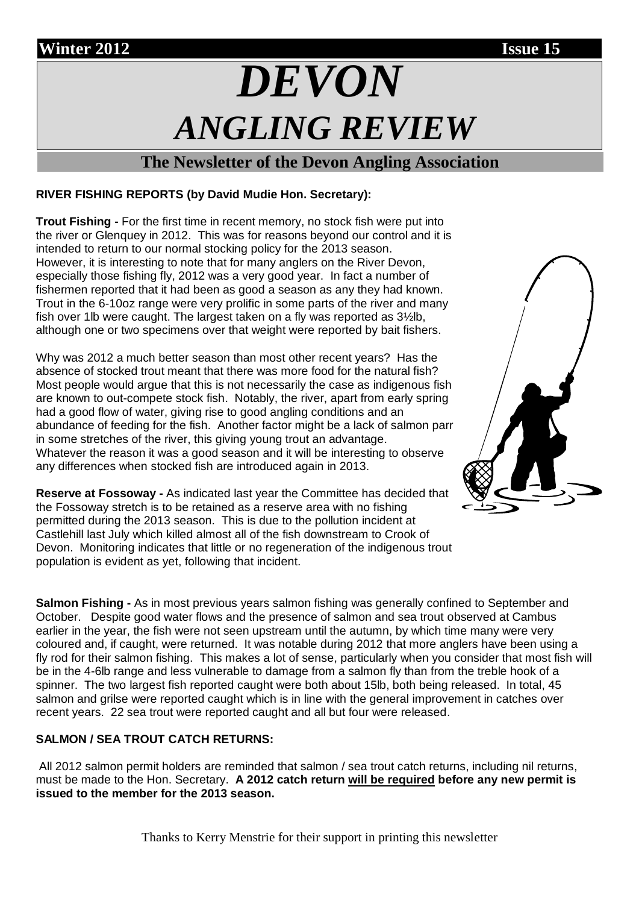# **Winter 2012 Issue 15** *DEVON ANGLING REVIEW*

## **The Newsletter of the Devon Angling Association**

## **RIVER FISHING REPORTS (by David Mudie Hon. Secretary):**

**Trout Fishing -** For the first time in recent memory, no stock fish were put into the river or Glenquey in 2012.This was for reasons beyond our control and it is intended to return to our normal stocking policy for the 2013 season. However, it is interesting to note that for many anglers on the River Devon, especially those fishing fly, 2012 was a very good year. In fact a number of fishermen reported that it had been as good a season as any they had known. Trout in the 6-10oz range were very prolific in some parts of the river and many fish over 1lb were caught. The largest taken on a fly was reported as 3½lb, although one or two specimens over that weight were reported by bait fishers.

Why was 2012 a much better season than most other recent years? Has the absence of stocked trout meant that there was more food for the natural fish? Most people would argue that this is not necessarily the case as indigenous fish are known to out-compete stock fish. Notably, the river, apart from early spring had a good flow of water, giving rise to good angling conditions and an abundance of feeding for the fish. Another factor might be a lack of salmon parr in some stretches of the river, this giving young trout an advantage. Whatever the reason it was a good season and it will be interesting to observe any differences when stocked fish are introduced again in 2013.

**Reserve at Fossoway -** As indicated last year the Committee has decided that the Fossoway stretch is to be retained as a reserve area with no fishing permitted during the 2013 season. This is due to the pollution incident at Castlehill last July which killed almost all of the fish downstream to Crook of Devon. Monitoring indicates that little or no regeneration of the indigenous trout population is evident as yet, following that incident.

**Salmon Fishing -** As in most previous years salmon fishing was generally confined to September and October. Despite good water flows and the presence of salmon and sea trout observed at Cambus earlier in the year, the fish were not seen upstream until the autumn, by which time many were very coloured and, if caught, were returned. It was notable during 2012 that more anglers have been using a fly rod for their salmon fishing. This makes a lot of sense, particularly when you consider that most fish will be in the 4-6lb range and less vulnerable to damage from a salmon fly than from the treble hook of a spinner. The two largest fish reported caught were both about 15lb, both being released. In total, 45 salmon and grilse were reported caught which is in line with the general improvement in catches over recent years. 22 sea trout were reported caught and all but four were released.

### **SALMON / SEA TROUT CATCH RETURNS:**

All 2012 salmon permit holders are reminded that salmon / sea trout catch returns, including nil returns, must be made to the Hon. Secretary. **A 2012 catch return will be required before any new permit is issued to the member for the 2013 season.**